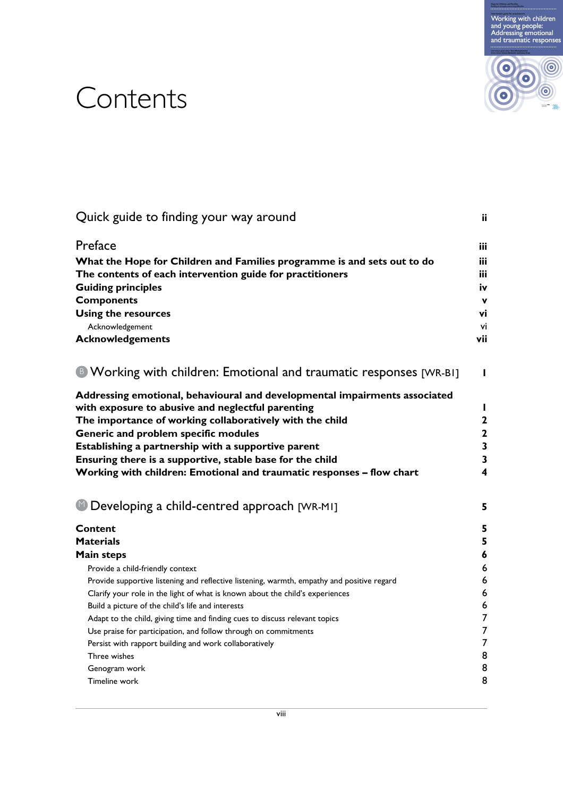



# **Contents**

| Quick guide to finding your way around                                                                                          | ii                      |
|---------------------------------------------------------------------------------------------------------------------------------|-------------------------|
| Preface                                                                                                                         | iii                     |
| What the Hope for Children and Families programme is and sets out to do                                                         | iii                     |
| The contents of each intervention guide for practitioners                                                                       | iii                     |
| <b>Guiding principles</b>                                                                                                       | iv                      |
| <b>Components</b>                                                                                                               | $\mathbf{v}$            |
| <b>Using the resources</b>                                                                                                      | vi                      |
| Acknowledgement                                                                                                                 | vi                      |
| <b>Acknowledgements</b>                                                                                                         | vii                     |
| <sup>8</sup> Working with children: Emotional and traumatic responses [WR-BI]                                                   | L                       |
| Addressing emotional, behavioural and developmental impairments associated<br>with exposure to abusive and neglectful parenting | $\mathbf{I}$            |
| The importance of working collaboratively with the child                                                                        | $\mathbf 2$             |
| Generic and problem specific modules                                                                                            | $\overline{\mathbf{c}}$ |
| Establishing a partnership with a supportive parent                                                                             | 3                       |
| Ensuring there is a supportive, stable base for the child                                                                       | 3                       |
| Working with children: Emotional and traumatic responses - flow chart                                                           | 4                       |
| <sup>1</sup> Developing a child-centred approach [WR-MI]                                                                        | 5                       |
| <b>Content</b>                                                                                                                  | 5                       |
| <b>Materials</b>                                                                                                                | 5                       |
| <b>Main steps</b>                                                                                                               | 6                       |
| Provide a child-friendly context                                                                                                | 6                       |
| Provide supportive listening and reflective listening, warmth, empathy and positive regard                                      | 6                       |
| Clarify your role in the light of what is known about the child's experiences                                                   | 6                       |
| Build a picture of the child's life and interests                                                                               | 6                       |
| Adapt to the child, giving time and finding cues to discuss relevant topics                                                     | 7                       |
| Use praise for participation, and follow through on commitments                                                                 | 7                       |
| Persist with rapport building and work collaboratively                                                                          | 7                       |
| Three wishes                                                                                                                    | 8                       |
| Genogram work                                                                                                                   | 8                       |
| Timeline work                                                                                                                   | 8                       |
|                                                                                                                                 |                         |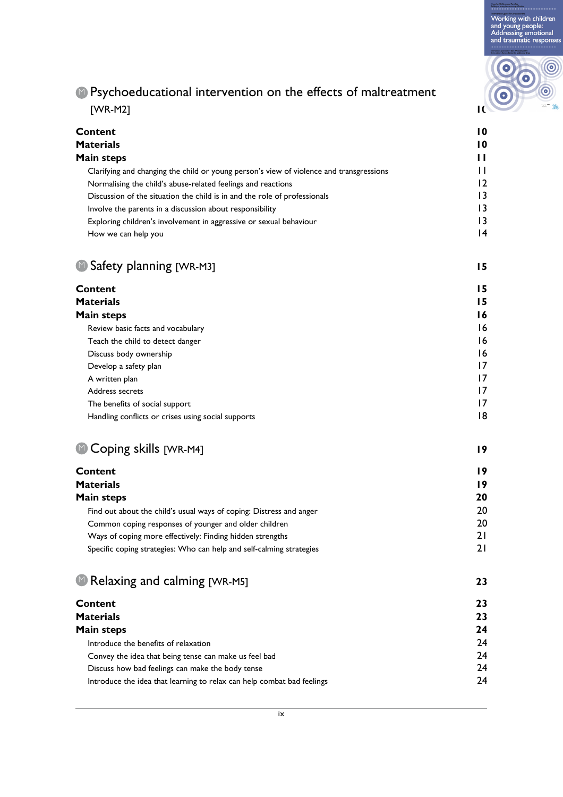Working with children<br>and young people:<br>Addressing emotional<br>and traumatic responses

# $\circledcirc$  $\bullet$  $\odot$

#### **P** Psychoeducational intervention on the effects of maltreatment [WR-M2] **10**

| Content                                                                                 | 10             |
|-----------------------------------------------------------------------------------------|----------------|
| <b>Materials</b>                                                                        | 10             |
| Main steps                                                                              | п              |
| Clarifying and changing the child or young person's view of violence and transgressions | п              |
| Normalising the child's abuse-related feelings and reactions                            | $\overline{2}$ |
| Discussion of the situation the child is in and the role of professionals               | 13             |
| Involve the parents in a discussion about responsibility                                | 13             |
| Exploring children's involvement in aggressive or sexual behaviour                      | 13             |
| How we can help you                                                                     | 14             |
|                                                                                         |                |

#### **15** Safety planning [WR-M3]

| Content                                                             | 15 |
|---------------------------------------------------------------------|----|
| <b>Materials</b>                                                    | 15 |
| Main steps                                                          | 16 |
| Review basic facts and vocabulary                                   | 16 |
| Teach the child to detect danger                                    | 16 |
| Discuss body ownership                                              | 16 |
| Develop a safety plan                                               | 17 |
| A written plan                                                      | 17 |
| Address secrets                                                     | 17 |
| The benefits of social support                                      | 17 |
| Handling conflicts or crises using social supports                  | 8  |
| Coping skills [WR-M4]                                               | 19 |
| Content                                                             | 19 |
| <b>Materials</b>                                                    | 19 |
| Main steps                                                          | 20 |
| Find out about the child's usual ways of coping: Distress and anger | 20 |

### **D** Coping skills [WR-M4] **19**

| Content                                                              | 19 |
|----------------------------------------------------------------------|----|
| Materials                                                            | 19 |
| Main steps                                                           | 20 |
| Find out about the child's usual ways of coping: Distress and anger  | 20 |
| Common coping responses of younger and older children                | 20 |
| Ways of coping more effectively: Finding hidden strengths            |    |
| Specific coping strategies: Who can help and self-calming strategies |    |

#### Relaxing and calming [WR-M5] **23** M

| Content                                                                | 23. |
|------------------------------------------------------------------------|-----|
| <b>Materials</b>                                                       | 23  |
| Main steps                                                             | 24  |
| Introduce the benefits of relaxation                                   | 24  |
| Convey the idea that being tense can make us feel bad                  | 24  |
| Discuss how bad feelings can make the body tense                       | 24  |
| Introduce the idea that learning to relax can help combat bad feelings | 24  |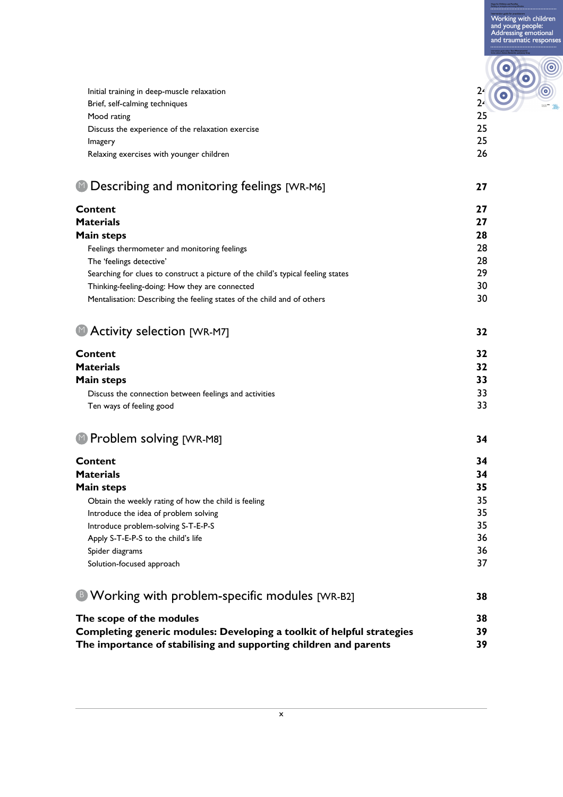Working with children<br>and young people:<br>Addressing emotional<br>and traumatic responses

 $\bullet$ 

 $\bullet$ 

 $\circledcirc$ 

 $\boldsymbol{\circ}$ 

| Initial training in deep-muscle relaxation        | 24 |
|---------------------------------------------------|----|
| Brief, self-calming techniques                    | 24 |
| Mood rating                                       | 25 |
| Discuss the experience of the relaxation exercise | 25 |
| Imagery                                           | 25 |
| Relaxing exercises with younger children          | 26 |

## Describing and monitoring feelings [WR-M6] **27** M

| <b>Materials</b><br>27<br>28<br><b>Main steps</b><br>28<br>Feelings thermometer and monitoring feelings<br>28<br>The 'feelings detective'<br>29<br>Searching for clues to construct a picture of the child's typical feeling states<br>30<br>Thinking-feeling-doing: How they are connected<br>30<br>Mentalisation: Describing the feeling states of the child and of others<br>Activity selection [WR-M7]<br>32<br><b>Content</b><br>32<br><b>Materials</b><br>32<br>33<br><b>Main steps</b><br>33<br>Discuss the connection between feelings and activities<br>33<br>Ten ways of feeling good<br><sup>1</sup> Problem solving [WR-M8]<br>34<br><b>Content</b><br>34<br><b>Materials</b><br>34<br><b>Main steps</b><br>35<br>35<br>Obtain the weekly rating of how the child is feeling<br>35<br>Introduce the idea of problem solving<br>35<br>Introduce problem-solving S-T-E-P-S<br>36<br>Apply S-T-E-P-S to the child's life<br>36<br>Spider diagrams<br>37<br>Solution-focused approach<br><sup>B</sup> Working with problem-specific modules [WR-B2]<br>38<br>The scope of the modules<br>38<br>39<br>Completing generic modules: Developing a toolkit of helpful strategies | <b>Content</b> | 27 |
|-------------------------------------------------------------------------------------------------------------------------------------------------------------------------------------------------------------------------------------------------------------------------------------------------------------------------------------------------------------------------------------------------------------------------------------------------------------------------------------------------------------------------------------------------------------------------------------------------------------------------------------------------------------------------------------------------------------------------------------------------------------------------------------------------------------------------------------------------------------------------------------------------------------------------------------------------------------------------------------------------------------------------------------------------------------------------------------------------------------------------------------------------------------------------------------|----------------|----|
|                                                                                                                                                                                                                                                                                                                                                                                                                                                                                                                                                                                                                                                                                                                                                                                                                                                                                                                                                                                                                                                                                                                                                                                     |                |    |
|                                                                                                                                                                                                                                                                                                                                                                                                                                                                                                                                                                                                                                                                                                                                                                                                                                                                                                                                                                                                                                                                                                                                                                                     |                |    |
|                                                                                                                                                                                                                                                                                                                                                                                                                                                                                                                                                                                                                                                                                                                                                                                                                                                                                                                                                                                                                                                                                                                                                                                     |                |    |
|                                                                                                                                                                                                                                                                                                                                                                                                                                                                                                                                                                                                                                                                                                                                                                                                                                                                                                                                                                                                                                                                                                                                                                                     |                |    |
|                                                                                                                                                                                                                                                                                                                                                                                                                                                                                                                                                                                                                                                                                                                                                                                                                                                                                                                                                                                                                                                                                                                                                                                     |                |    |
|                                                                                                                                                                                                                                                                                                                                                                                                                                                                                                                                                                                                                                                                                                                                                                                                                                                                                                                                                                                                                                                                                                                                                                                     |                |    |
|                                                                                                                                                                                                                                                                                                                                                                                                                                                                                                                                                                                                                                                                                                                                                                                                                                                                                                                                                                                                                                                                                                                                                                                     |                |    |
|                                                                                                                                                                                                                                                                                                                                                                                                                                                                                                                                                                                                                                                                                                                                                                                                                                                                                                                                                                                                                                                                                                                                                                                     |                |    |
|                                                                                                                                                                                                                                                                                                                                                                                                                                                                                                                                                                                                                                                                                                                                                                                                                                                                                                                                                                                                                                                                                                                                                                                     |                |    |
|                                                                                                                                                                                                                                                                                                                                                                                                                                                                                                                                                                                                                                                                                                                                                                                                                                                                                                                                                                                                                                                                                                                                                                                     |                |    |
|                                                                                                                                                                                                                                                                                                                                                                                                                                                                                                                                                                                                                                                                                                                                                                                                                                                                                                                                                                                                                                                                                                                                                                                     |                |    |
|                                                                                                                                                                                                                                                                                                                                                                                                                                                                                                                                                                                                                                                                                                                                                                                                                                                                                                                                                                                                                                                                                                                                                                                     |                |    |
|                                                                                                                                                                                                                                                                                                                                                                                                                                                                                                                                                                                                                                                                                                                                                                                                                                                                                                                                                                                                                                                                                                                                                                                     |                |    |
|                                                                                                                                                                                                                                                                                                                                                                                                                                                                                                                                                                                                                                                                                                                                                                                                                                                                                                                                                                                                                                                                                                                                                                                     |                |    |
|                                                                                                                                                                                                                                                                                                                                                                                                                                                                                                                                                                                                                                                                                                                                                                                                                                                                                                                                                                                                                                                                                                                                                                                     |                |    |
|                                                                                                                                                                                                                                                                                                                                                                                                                                                                                                                                                                                                                                                                                                                                                                                                                                                                                                                                                                                                                                                                                                                                                                                     |                |    |
|                                                                                                                                                                                                                                                                                                                                                                                                                                                                                                                                                                                                                                                                                                                                                                                                                                                                                                                                                                                                                                                                                                                                                                                     |                |    |
|                                                                                                                                                                                                                                                                                                                                                                                                                                                                                                                                                                                                                                                                                                                                                                                                                                                                                                                                                                                                                                                                                                                                                                                     |                |    |
|                                                                                                                                                                                                                                                                                                                                                                                                                                                                                                                                                                                                                                                                                                                                                                                                                                                                                                                                                                                                                                                                                                                                                                                     |                |    |
|                                                                                                                                                                                                                                                                                                                                                                                                                                                                                                                                                                                                                                                                                                                                                                                                                                                                                                                                                                                                                                                                                                                                                                                     |                |    |
|                                                                                                                                                                                                                                                                                                                                                                                                                                                                                                                                                                                                                                                                                                                                                                                                                                                                                                                                                                                                                                                                                                                                                                                     |                |    |
|                                                                                                                                                                                                                                                                                                                                                                                                                                                                                                                                                                                                                                                                                                                                                                                                                                                                                                                                                                                                                                                                                                                                                                                     |                |    |
|                                                                                                                                                                                                                                                                                                                                                                                                                                                                                                                                                                                                                                                                                                                                                                                                                                                                                                                                                                                                                                                                                                                                                                                     |                |    |
|                                                                                                                                                                                                                                                                                                                                                                                                                                                                                                                                                                                                                                                                                                                                                                                                                                                                                                                                                                                                                                                                                                                                                                                     |                |    |
|                                                                                                                                                                                                                                                                                                                                                                                                                                                                                                                                                                                                                                                                                                                                                                                                                                                                                                                                                                                                                                                                                                                                                                                     |                |    |
|                                                                                                                                                                                                                                                                                                                                                                                                                                                                                                                                                                                                                                                                                                                                                                                                                                                                                                                                                                                                                                                                                                                                                                                     |                |    |
|                                                                                                                                                                                                                                                                                                                                                                                                                                                                                                                                                                                                                                                                                                                                                                                                                                                                                                                                                                                                                                                                                                                                                                                     |                |    |
|                                                                                                                                                                                                                                                                                                                                                                                                                                                                                                                                                                                                                                                                                                                                                                                                                                                                                                                                                                                                                                                                                                                                                                                     |                |    |

**The importance of stabilising and supporting children and parents 39**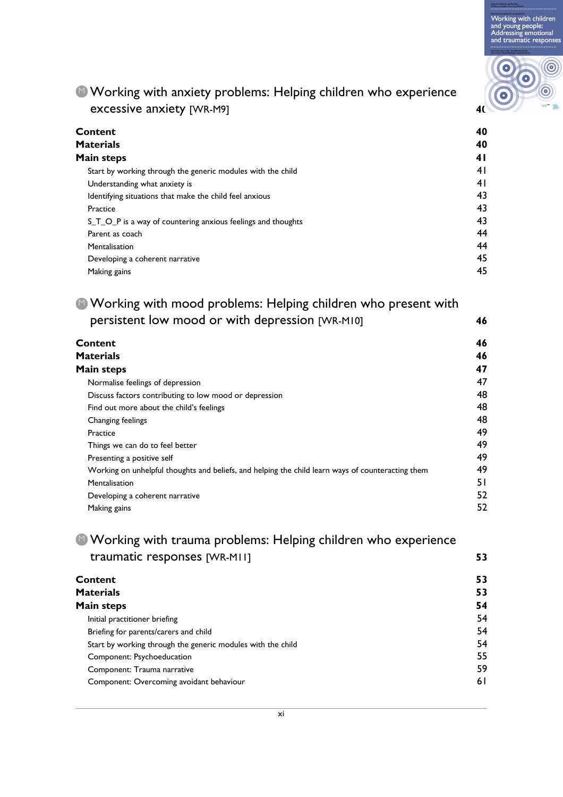Working with children and young people:<br>Addressing emotional<br>and traumatic responses



#### **Working with anxiety problems: Helping children who experience** excessive anxiety [WR-M9] **40**

| Content                                                      | 40 |
|--------------------------------------------------------------|----|
| <b>Materials</b>                                             | 40 |
| Main steps                                                   | 41 |
| Start by working through the generic modules with the child  | 41 |
| Understanding what anxiety is                                | 41 |
| Identifying situations that make the child feel anxious      | 43 |
| Practice                                                     | 43 |
| S_T_O_P is a way of countering anxious feelings and thoughts | 43 |
| Parent as coach                                              | 44 |
| Mentalisation                                                | 44 |
| Developing a coherent narrative                              | 45 |
| Making gains                                                 | 45 |

#### **Working with mood problems: Helping children who present with** persistent low mood or with depression [WR-M10] **46**

| <b>Working with mood problems: Helping children who present with</b>                              |    |
|---------------------------------------------------------------------------------------------------|----|
| persistent low mood or with depression [WR-MI0]                                                   | 46 |
| <b>Content</b>                                                                                    | 46 |
| <b>Materials</b>                                                                                  | 46 |
| <b>Main steps</b>                                                                                 | 47 |
| Normalise feelings of depression                                                                  | 47 |
| Discuss factors contributing to low mood or depression                                            | 48 |
| Find out more about the child's feelings                                                          | 48 |
| Changing feelings                                                                                 | 48 |
| Practice                                                                                          | 49 |
| Things we can do to feel better                                                                   | 49 |
| Presenting a positive self                                                                        | 49 |
| Working on unhelpful thoughts and beliefs, and helping the child learn ways of counteracting them | 49 |
| Mentalisation                                                                                     | 51 |
| Developing a coherent narrative                                                                   | 52 |
| Making gains                                                                                      | 52 |

#### **Working with trauma problems: Helping children who experience** traumatic responses [WR-M11] **53**

| Content                                                     | 53  |
|-------------------------------------------------------------|-----|
| Materials                                                   | 53  |
| Main steps                                                  | 54  |
| Initial practitioner briefing                               | 54  |
| Briefing for parents/carers and child                       | 54  |
| Start by working through the generic modules with the child | 54  |
| Component: Psychoeducation                                  | 55  |
| Component: Trauma narrative                                 | 59  |
| Component: Overcoming avoidant behaviour                    | 6 I |
|                                                             |     |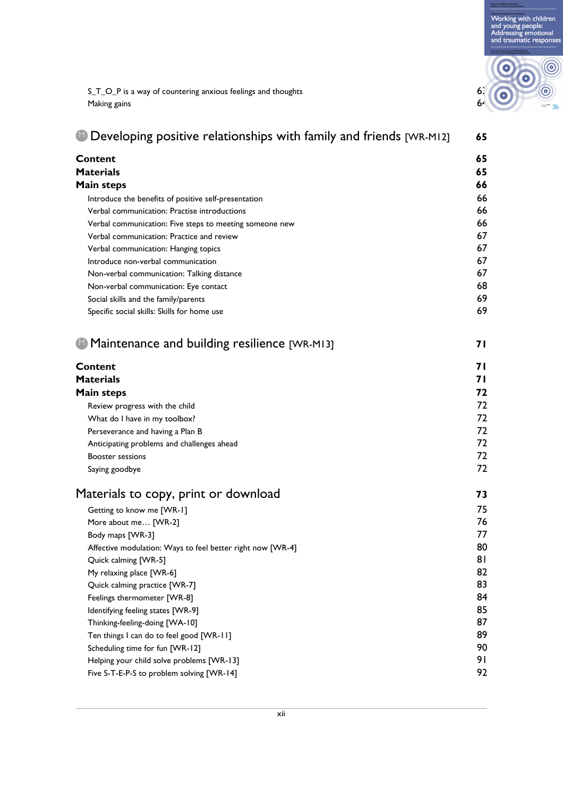Working with children<br>and young people:<br>Addressing emotional<br>and traumatic responses



S\_T\_O\_P is a way of countering anxious feelings and thoughts 63 Making gains 64

| <b>Developing positive relationships with family and friends [WR-MI2]</b> | 65 |
|---------------------------------------------------------------------------|----|
| <b>Content</b>                                                            | 65 |
| <b>Materials</b>                                                          | 65 |
| <b>Main steps</b>                                                         | 66 |
| Introduce the benefits of positive self-presentation                      | 66 |
| Verbal communication: Practise introductions                              | 66 |
| Verbal communication: Five steps to meeting someone new                   | 66 |
| Verbal communication: Practice and review                                 | 67 |
| Verbal communication: Hanging topics                                      | 67 |
| Introduce non-verbal communication                                        | 67 |
| Non-verbal communication: Talking distance                                | 67 |
| Non-verbal communication: Eye contact                                     | 68 |
| Social skills and the family/parents                                      | 69 |
| Specific social skills: Skills for home use                               | 69 |
| • Maintenance and building resilience [WR-MI3]                            | 71 |
| Content                                                                   | 71 |
| <b>Materials</b>                                                          | 71 |
| <b>Main steps</b>                                                         | 72 |
| Review progress with the child                                            | 72 |
| What do I have in my toolbox?                                             | 72 |
| Perseverance and having a Plan B                                          | 72 |
| Anticipating problems and challenges ahead                                | 72 |
| <b>Booster sessions</b>                                                   | 72 |
| Saying goodbye                                                            | 72 |
| Materials to copy, print or download                                      | 73 |
| Getting to know me [WR-1]                                                 | 75 |
| More about me [WR-2]                                                      | 76 |
| Body maps [WR-3]                                                          | 77 |
| Affective modulation: Ways to feel better right now [WR-4]                | 80 |
| Quick calming [WR-5]                                                      | 81 |
| My relaxing place [WR-6]                                                  | 82 |
| Quick calming practice [WR-7]                                             | 83 |
| Feelings thermometer [WR-8]                                               | 84 |
| Identifying feeling states [WR-9]                                         | 85 |
| Thinking-feeling-doing [WA-10]                                            | 87 |
| Ten things I can do to feel good [WR-11]                                  | 89 |
| Scheduling time for fun [WR-12]                                           | 90 |
| Helping your child solve problems [WR-13]                                 | 91 |
| Five S-T-E-P-S to problem solving [WR-14]                                 | 92 |